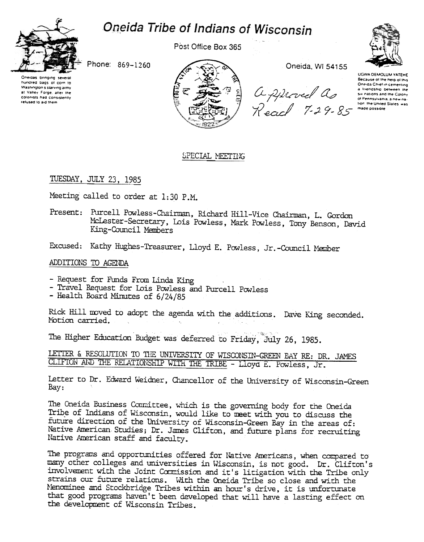

# Oneida Tribe of Indians of Wisconsin

Post Office Box 365



Phone: 869-1260

Oneidas bringing severa hundred bags of corn to Washington's starving army at Valley Forge, after the colonists had consistently relused to aid them



Oneida, WI 54155

a thenosmo b<br>Sur patients and the strations and<br>Recal 7-29-85 mate possible

UGWA DEMOLUM YATEHE Because of the help of this Oneida Chief in cementing a Iriendship between the six nations and the Colony of Pennsylvania, a new nation the United States was

## SPECIAL MEETING

## TUESDAY, JULY 23, 1985

Meeting called to order at 1:30 P.M.

Present: Purcell Powless-Chairman, Richard Hill-Vice Chairman, L. Gordon McLester-Secretary, Lois Powless, Mark Powless, Tony Benson, David King-Council Members

Excused: Kathy Hughes-Treasurer, Lloyd E. Powless, Jr.-Council Member

### ADDITIONS TO AGENDA

- Request for Funds From Linda King
- Travel Request for Lois Powless and Purcell Powless
- Health Board Minutes of 6/24/85

Rick Hill moved to adopt the agenda with the additions. Dave King seconded. Motion carried.  $\Delta$ 

The Higher Education Budget was deferred to Friday, July 26, 1985.

LETTER & RESOLUTION TO THE UNIVERSITY OF WISCONSIN-GREEN BAY RE: DR. JAMES CLIFTON AND THE RELATIONSHIP WITH THE TRIBE - Lloyd E. Powless, Jr.

Letter to Dr. Edward Weidner, Chancellor of the University of Wisconsin-Green Bay:

The Oneida Business Conmittee, which is the governing body for the Oneida Tribe of Indians of Wisconsin, would like to meet with you to discuss the future direction of the University of Wisconsin-Green Bay in the areas of: Native American Studies; Dr. James Clifton, and future plans for recruiting Native American staff and faculty.

The programs and opportunities offered for Native Americans, when compared to many other colleges and universities in Wisconsin, is not good. Dr. Clifton's involvement with the Joint Commission and it's litigation with the Tribe only strains our future relations. With the Oneida Tribe so close and with the Menominee and Stockbridge Tribes within an hour's drive, it is unfortunate that good programs haven't been developed that will have a lasting effect on the development of Wisconsin Tribes.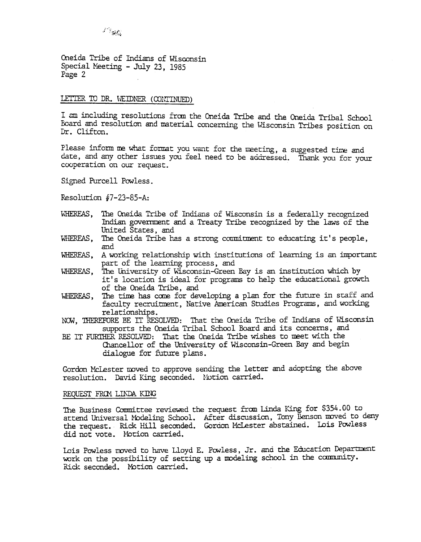Oneida Tribe of Indians of Wisconsin Special Meeting - July 23, 1985 Page 2

## LETTER TO DR. WEIDNER (CONTINUED)

I am including resolutions from the Oneida Tribe and the Oneida Tribal School Board and resolution and material concerning the Wisconsin Tribes position on Dr. Clifton.

Please inform me what format you want for the meeting, a suggested time and date, and any other issues you feel need to be addressed. Thank you for your cooperation on our request.

Signed Purcell Powless.

Resolution  $#7-23-85-A$ :

- WHEREAS, The Oneida Tribe of Indians of Wisconsin is a federally recognized Indian government and a Treaty Tribe recognized by the laws of the United States, and
- WHEREAS. The Oneida Tribe has a strong commitment to educating it's people, and
- A working relationship with institutions of learning is an important WHEREAS. part of the learning process, and
- The University of Wisconsin-Green Bay is an institution which by WHEREAS, it's location is ideal for programs to help the educational growth of the Oneida Tribe, and
- The time has come for developing a plan for the future in staff and WHEREAS, faculty recruitment, Native American Studies Programs, and working relationships.
- NOW, THEREFORE BE IT RESOLVED: That the Oneida Tribe of Indians of Wisconsin supports the Oneida Tribal School Board and its concerns, and
- BE IT FURTHER RESOLVED: That the Oneida Tribe wishes to meet with the Chancellor of the University of Wisconsin-Green Bay and begin dialogue for future plans.

Gordon McLester moved to approve sending the letter and adopting the above resolution. David King seconded. Notion carried.

#### REQUEST FROM LINDA KING

The Business Committee reviewed the request from Linda King for \$354.00 to attend Universal Modeling School. After discussion, Tony Benson moved to deny the request. Rick Hill seconded. Gordon McLester abstained. Lois Powless did not vote. Motion carried.

Lois Powless moved to have Lloyd E. Powless, Jr. and the Education Department work on the possibility of setting up a modeling school in the community. Rick seconded. Motion carried.